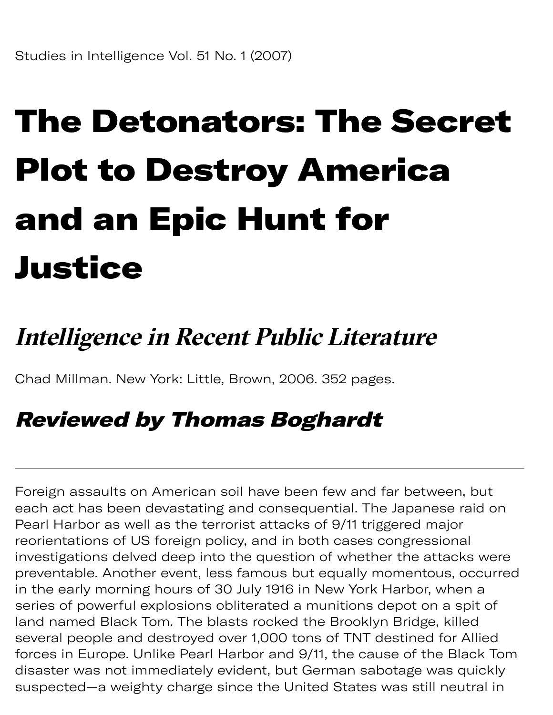## The Detonators: The Secret Plot to Destroy America and an Epic Hunt for Justice

## **Intelligence in Recent Public Literature**

Chad Millman. New York: Little, Brown, 2006. 352 pages.

## Reviewed by Thomas Boghardt

Foreign assaults on American soil have been few and far between, but each act has been devastating and consequential. The Japanese raid on Pearl Harbor as well as the terrorist attacks of 9/11 triggered major reorientations of US foreign policy, and in both cases congressional investigations delved deep into the question of whether the attacks were preventable. Another event, less famous but equally momentous, occurred in the early morning hours of 30 July 1916 in New York Harbor, when a series of powerful explosions obliterated a munitions depot on a spit of land named Black Tom. The blasts rocked the Brooklyn Bridge, killed several people and destroyed over 1,000 tons of TNT destined for Allied forces in Europe. Unlike Pearl Harbor and 9/11, the cause of the Black Tom disaster was not immediately evident, but German sabotage was quickly suspected—a weighty charge since the United States was still neutral in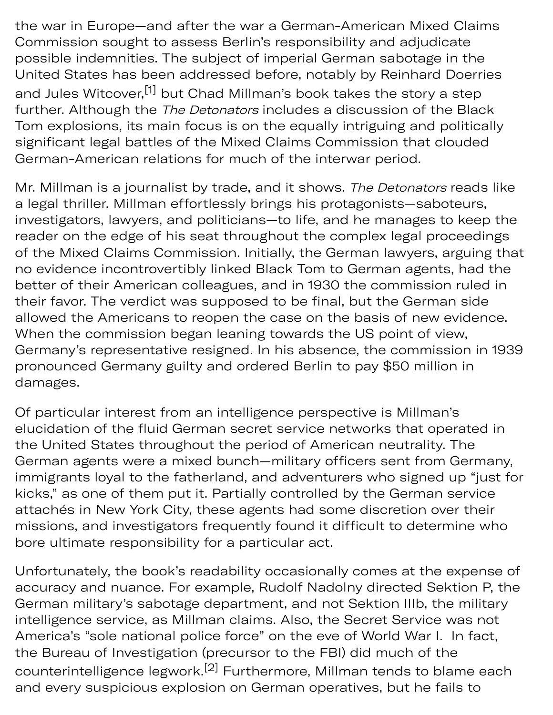the war in Europe—and after the war a German-American Mixed Claims Commission sought to assess Berlin's responsibility and adjudicate possible indemnities. The subject of imperial German sabotage in the United States has been addressed before, notably by Reinhard Doerries and Jules Witcover,<sup>[1]</sup> but Chad Millman's book takes the story a step further. Although the The Detonators includes a discussion of the Black Tom explosions, its main focus is on the equally intriguing and politically significant legal battles of the Mixed Claims Commission that clouded German-American relations for much of the interwar period.

susp eigh y cha g

Mr. Millman is a journalist by trade, and it shows. The Detonators reads like a legal thriller. Millman effortlessly brings his protagonists—saboteurs, investigators, lawyers, and politicians—to life, and he manages to keep the reader on the edge of his seat throughout the complex legal proceedings of the Mixed Claims Commission. Initially, the German lawyers, arguing that no evidence incontrovertibly linked Black Tom to German agents, had the better of their American colleagues, and in 1930 the commission ruled in their favor. The verdict was supposed to be final, but the German side allowed the Americans to reopen the case on the basis of new evidence. When the commission began leaning towards the US point of view, Germany's representative resigned. In his absence, the commission in 1939 pronounced Germany guilty and ordered Berlin to pay \$50 million in damages.

Of particular interest from an intelligence perspective is Millman's elucidation of the fluid German secret service networks that operated in the United States throughout the period of American neutrality. The German agents were a mixed bunch—military officers sent from Germany, immigrants loyal to the fatherland, and adventurers who signed up "just for kicks," as one of them put it. Partially controlled by the German service attachés in New York City, these agents had some discretion over their missions, and investigators frequently found it difficult to determine who bore ultimate responsibility for a particular act.

Unfortunately, the book's readability occasionally comes at the expense of accuracy and nuance. For example, Rudolf Nadolny directed Sektion P, the German military's sabotage department, and not Sektion IIIb, the military intelligence service, as Millman claims. Also, the Secret Service was not America's "sole national police force" on the eve of World War I. In fact, the Bureau of Investigation (precursor to the FBI) did much of the counterintelligence legwork.<sup>[2]</sup> Furthermore, Millman tends to blame each and every suspicious explosion on German operatives, but he fails to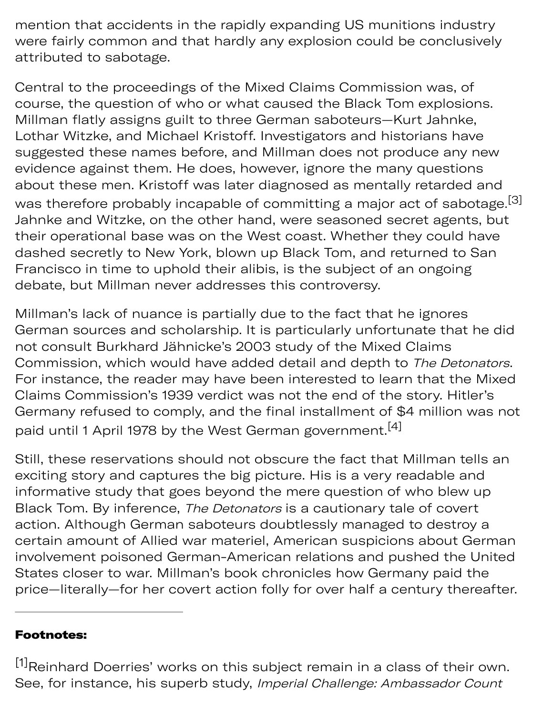mention that accidents in the rapidly expanding US munitions industry were fairly common and that hardly any explosion could be conclusively attributed to sabotage.

Central to the proceedings of the Mixed Claims Commission was, of course, the question of who or what caused the Black Tom explosions. Millman flatly assigns guilt to three German saboteurs—Kurt Jahnke, Lothar Witzke, and Michael Kristoff. Investigators and historians have sugested these names before, and Millman does not produce any new evidence against them. He does, however, ignore the many questions about these men. Kristoff was later diagnosed as mentally retarded and was therefore probably incapable of committing a major act of sabotage.<sup>[3]</sup> Jahnke and Witzke, on the other hand, were seasoned secret agents, but their operational base was on the West coast. Whether they could have dashed secretly to New York, blown up Black Tom, and returned to San Francisco in time to uphold their alibis, is the subject of an ongoing debate, but Millman never addresses this controversy.

Millman's lack of nuance is partially due to the fact that he ignores German sources and scholarship. It is particularly unfortunate that he did not consult Burkhard Jähnicke's 2003 study of the Mixed Claims Commission, which would have added detail and depth to The Detonators. For instance, the reader may have been interested to learn that the Mixed Claims Commission's 1939 verdict was not the end of the story. Hitler's Germany refused to comply, and the final installment of \$4 million was not paid until 1 April 1978 by the West German government.<sup>[4]</sup>

Still, these reservations should not obscure the fact that Millman tells an exciting story and captures the big picture. His is a very readable and informative study that goes beyond the mere question of who blew up Black Tom. By inference, The Detonators is a cautionary tale of covert action. Although German saboteurs doubtlessly managed to destroy a certain amount of Allied war materiel, American suspicions about German involvement poisoned German-American relations and pushed the United States closer to war. Millman's book chronicles how Germany paid the price—literally—for her covert action folly for over half a century thereafter.

## Footnotes:

[1]Reinhard Doerries' works on this subject remain in a class of their own. See, for instance, his superb study, Imperial Challenge: Ambassador Count